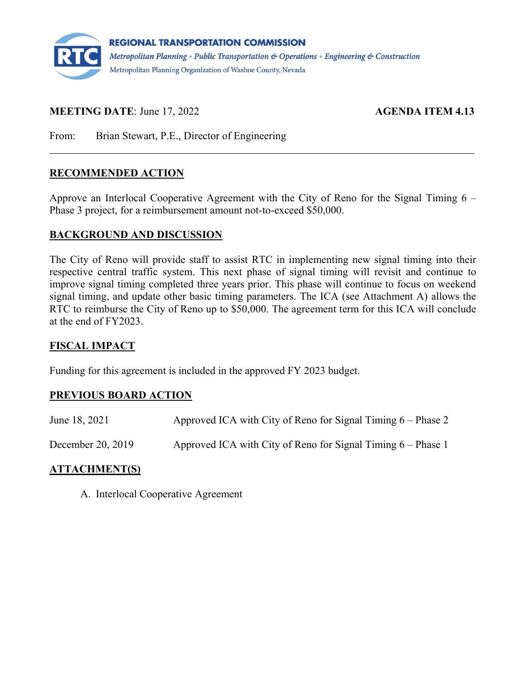

## **MEETING DATE:** June 17, 2022 **AGENDA ITEM 4.13**

From: Brian Stewart, P.E., Director of Engineering

### **RECOMMENDED ACTION**

Approve an Interlocal Cooperative Agreement with the City of Reno for the Signal Timing 6 – Phase 3 project, for a reimbursement amount not-to-exceed \$50,000.

### **BACKGROUND AND DISCUSSION**

The City of Reno will provide staff to assist RTC in implementing new signal timing into their respective central traffic system. This next phase of signal timing will revisit and continue to improve signal timing completed three years prior. This phase will continue to focus on weekend signal timing, and update other basic timing parameters. The ICA (see Attachment A) allows the RTC to reimburse the City of Reno up to \$50,000. The agreement term for this ICA will conclude at the end of FY2023.

### **FISCAL IMPACT**

Funding for this agreement is included in the approved FY 2023 budget.

### **PREVIOUS BOARD ACTION**

| June 18, 2021     | Approved ICA with City of Reno for Signal Timing $6$ – Phase 2 |
|-------------------|----------------------------------------------------------------|
| December 20, 2019 | Approved ICA with City of Reno for Signal Timing $6$ – Phase 1 |

### **ATTACHMENT(S)**

A. Interlocal Cooperative Agreement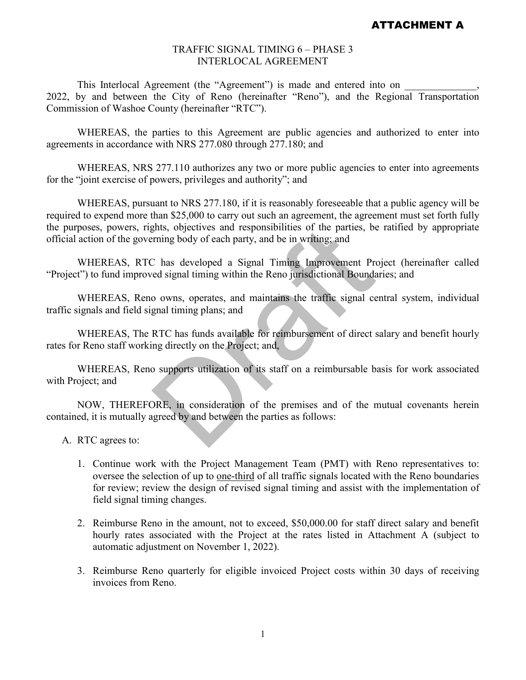#### TRAFFIC SIGNAL TIMING 6 – PHASE 3 INTERLOCAL AGREEMENT

This Interlocal Agreement (the "Agreement") is made and entered into on 2022, by and between the City of Reno (hereinafter "Reno"), and the Regional Transportation Commission of Washoe County (hereinafter "RTC").

WHEREAS, the parties to this Agreement are public agencies and authorized to enter into agreements in accordance with NRS 277.080 through 277.180; and

WHEREAS, NRS 277.110 authorizes any two or more public agencies to enter into agreements for the "joint exercise of powers, privileges and authority"; and

WHEREAS, pursuant to NRS 277.180, if it is reasonably foreseeable that a public agency will be required to expend more than \$25,000 to carry out such an agreement, the agreement must set forth fully the purposes, powers, rights, objectives and responsibilities of the parties, be ratified by appropriate official action of the governing body of each party, and be in writing; and

WHEREAS, RTC has developed a Signal Timing Improvement Project (hereinafter called "Project") to fund improved signal timing within the Reno jurisdictional Boundaries; and

WHEREAS, Reno owns, operates, and maintains the traffic signal central system, individual traffic signals and field signal timing plans; and

WHEREAS, The RTC has funds available for reimbursement of direct salary and benefit hourly rates for Reno staff working directly on the Project; and, ghts, objectives and responsibilities of the parties, be<br>rining body of each party, and be in writing; and<br>C has developed a Signal Timing Improvement Pre<br>ed signal timing within the Reno jurisdictional Boundar<br>o owns, ope

WHEREAS, Reno supports utilization of its staff on a reimbursable basis for work associated with Project; and

NOW, THEREFORE, in consideration of the premises and of the mutual covenants herein contained, it is mutually agreed by and between the parties as follows:

- A. RTC agrees to:
	- 1. Continue work with the Project Management Team (PMT) with Reno representatives to: oversee the selection of up to one-third of all traffic signals located with the Reno boundaries for review; review the design of revised signal timing and assist with the implementation of field signal timing changes.
	- 2. Reimburse Reno in the amount, not to exceed, \$50,000.00 for staff direct salary and benefit hourly rates associated with the Project at the rates listed in Attachment A (subject to automatic adjustment on November 1, 2022).
	- 3. Reimburse Reno quarterly for eligible invoiced Project costs within 30 days of receiving invoices from Reno.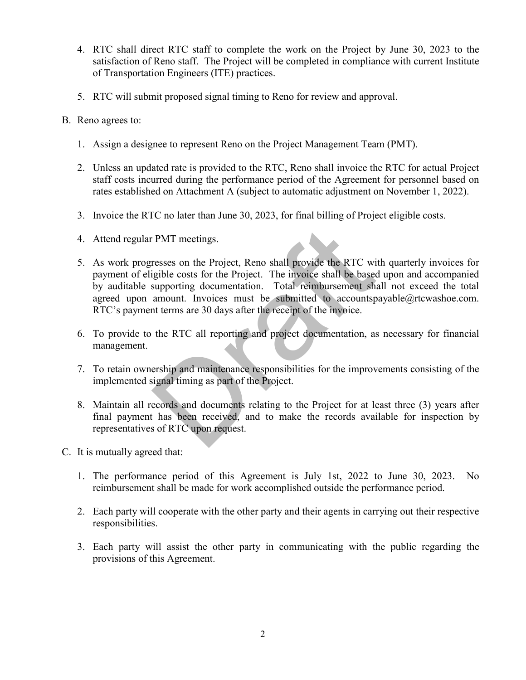- 4. RTC shall direct RTC staff to complete the work on the Project by June 30, 2023 to the satisfaction of Reno staff. The Project will be completed in compliance with current Institute of Transportation Engineers (ITE) practices.
- 5. RTC will submit proposed signal timing to Reno for review and approval.
- B. Reno agrees to:
	- 1. Assign a designee to represent Reno on the Project Management Team (PMT).
	- 2. Unless an updated rate is provided to the RTC, Reno shall invoice the RTC for actual Project staff costs incurred during the performance period of the Agreement for personnel based on rates established on Attachment A (subject to automatic adjustment on November 1, 2022).
	- 3. Invoice the RTC no later than June 30, 2023, for final billing of Project eligible costs.
	- 4. Attend regular PMT meetings.
	- 5. As work progresses on the Project, Reno shall provide the RTC with quarterly invoices for payment of eligible costs for the Project. The invoice shall be based upon and accompanied by auditable supporting documentation. Total reimbursement shall not exceed the total agreed upon amount. Invoices must be submitted to accountspayable@rtcwashoe.com. RTC's payment terms are 30 days after the receipt of the invoice. PMT meetings.<br>
	resses on the Project, Reno shall provide the RTC wigible costs for the Project. The invoice shall be based<br>
	supporting documentation. Total reimbursement shamount. Invoices must be submitted to <u>accountsp</u><br>
	- 6. To provide to the RTC all reporting and project documentation, as necessary for financial management.
	- 7. To retain ownership and maintenance responsibilities for the improvements consisting of the implemented signal timing as part of the Project.
	- 8. Maintain all records and documents relating to the Project for at least three (3) years after final payment has been received, and to make the records available for inspection by representatives of RTC upon request.
- C. It is mutually agreed that:
	- 1. The performance period of this Agreement is July 1st, 2022 to June 30, 2023. No reimbursement shall be made for work accomplished outside the performance period.
	- 2. Each party will cooperate with the other party and their agents in carrying out their respective responsibilities.
	- 3. Each party will assist the other party in communicating with the public regarding the provisions of this Agreement.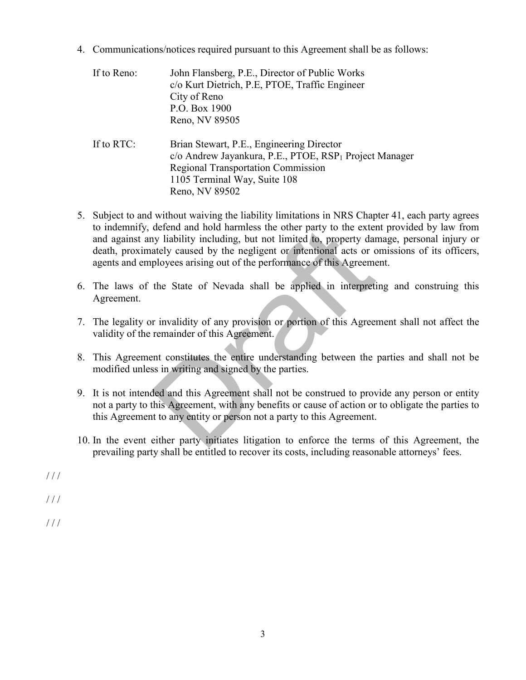4. Communications/notices required pursuant to this Agreement shall be as follows:

If to Reno: John Flansberg, P.E., Director of Public Works c/o Kurt Dietrich, P.E, PTOE, Traffic Engineer City of Reno P.O. Box 1900 Reno, NV 89505 If to RTC: Brian Stewart, P.E., Engineering Director c/o Andrew Jayankura, P.E., PTOE, RSP1 Project Manager Regional Transportation Commission 1105 Terminal Way, Suite 108 Reno, NV 89502

- 5. Subject to and without waiving the liability limitations in NRS Chapter 41, each party agrees to indemnify, defend and hold harmless the other party to the extent provided by law from and against any liability including, but not limited to, property damage, personal injury or death, proximately caused by the negligent or intentional acts or omissions of its officers, agents and employees arising out of the performance of this Agreement. defend and hold harmless the other party to the externy liability including, but not limited to, property daretly caused by the negligent or intentional acts or c ployees arising out of the performance of this Agreeme the
- 6. The laws of the State of Nevada shall be applied in interpreting and construing this Agreement.
- 7. The legality or invalidity of any provision or portion of this Agreement shall not affect the validity of the remainder of this Agreement.
- 8. This Agreement constitutes the entire understanding between the parties and shall not be modified unless in writing and signed by the parties.
- 9. It is not intended and this Agreement shall not be construed to provide any person or entity not a party to this Agreement, with any benefits or cause of action or to obligate the parties to this Agreement to any entity or person not a party to this Agreement.
- 10. In the event either party initiates litigation to enforce the terms of this Agreement, the prevailing party shall be entitled to recover its costs, including reasonable attorneys' fees.
- $1/1$

/ / /

 $1/1$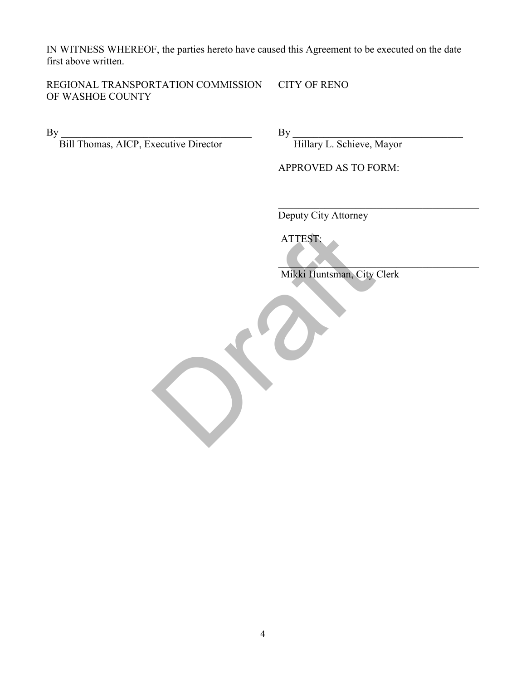IN WITNESS WHEREOF, the parties hereto have caused this Agreement to be executed on the date first above written.

REGIONAL TRANSPORTATION COMMISSION CITY OF RENO OF WASHOE COUNTY

Bill Thomas, AICP, Executive Director **Hillary L. Schieve, Mayor** 

By \_\_\_\_\_\_\_\_\_\_\_\_\_\_\_\_\_\_\_\_\_\_\_\_\_\_\_\_\_\_\_\_\_\_\_\_\_ By \_\_\_\_\_\_\_\_\_\_\_\_\_\_\_\_\_\_\_\_\_\_\_\_\_\_\_\_\_\_\_\_\_

APPROVED AS TO FORM:

\_\_\_\_\_\_\_\_\_\_\_\_\_\_\_\_\_\_\_\_\_\_\_\_\_\_\_\_\_\_\_\_\_\_\_\_\_\_\_ Deputy City Attorney

ATTEST:

 $\mathcal{L}=\{x\in\mathbb{R}^n:|x|<\infty\}$  , where  $\mathcal{L}=\{x\in\mathbb{R}^n:|x|<\infty\}$  Mikki Huntsman, City Clerk ATTEST:<br>Mikki Huntsman, City